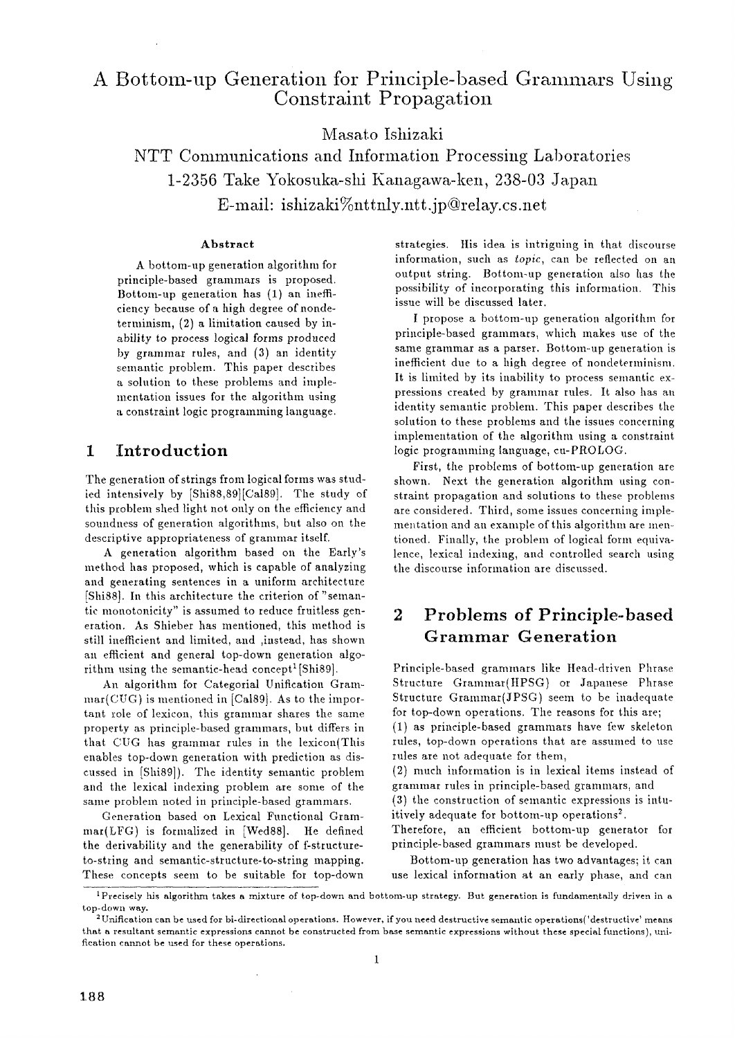# A Bottom-up Generation for Principle-based Grammars Using **Constraint Propagation**

**Masato Ishizaki** 

NTT Communications and Information Processing Laboratories 1-2356 Take Yokosuka-shi Kanagawa-ken, 238-03 Japan E-mail: ishizaki%nttnly.ntt.jp@relay.cs.net

#### **Abstract**

A bottom-up generation algorithm for principle-based grammars is proposed. Bottom-up generation has (1) an inefficiency because of a high degree ofnondeterminism, (2) a limitation caused by inability to process logical forms produced by grammar rules, and (3) an identity semantic problem. This paper describes a solution to these problems and implementation issues for the algorithm using a constraint logic programming language.

## **1 Introduction**

The generation of strings from logical forms was studied intensively by [Shi88,89][Ca189]. The study of this problem shed light not only on the efficiency and soundness of generation algorithms, but also on the descriptive appropriateness of grammar itself.

A generation algorithm based ou the Early's method has proposed, which is capable of analyzing and generating sentences in a uniform architecture [Shi88]. In this architecture the criterion of"semantic monotonicity" is assumed to reduce fruitless generation. As Shieber has mentioned, this method is still inefficient and limited, and ,instead, has shown an efficient and general top-down generation algorithm using the semantic-head concept<sup>1</sup>[Shi89].

An algorithm for Categorial Unification Gram $mar(CUG)$  is mentioned in [Cal89]. As to the important role of lexicon, this grammar shares the same property as principle-based grammars, but differs in that CUG has grammar rules in the lexicon(This enables top-down generation with prediction as discussed in [Shi89]). The identity semantic problem and the lexical indexing problem are some of the same problem noted in principle-based grammars.

Generation based on Lexical Functional Grammar(LFG) is formalized in [Wed88]. He defined the derivability and the generability of f-structureto-string and semantic-structure-to-string mapping. These concepts seem to be suitable for top-down

 $\ddot{\phantom{1}}$ 

strategies. His idea is intrigning in that discourse information, such as *topic,* can be reflected on an output string. Bottom-up generation also has the possibility of incorporating this information. This issue will be discussed later.

I propose a bottom-up generation algorithm for principle-based grammars, which makes use of the same grammar as a parser. Bottom-up generation is inefficient due to a high degree of nondeterminism. It is limited by its inability to process semantic expressions created by grammar rules. It also has an identity semantic problem. This paper describes the solution to these problems and the issues concerning implementation of the algorithm using a constraint logic programming language, cu-PROLOG.

First, the problems of bottom-up generation are shown. Next the generation algorithm using constraint propagation and solutions to these problems are considered. Third, some issues concerning implementation and an example of this algorithm are mentioned. Finally, the problem of logical form equivalence, lexical indexing, and controlled search using the discourse information are discussed.

# **2 Problems of Principle-based Grammar Generation**

Principle-based grammars like Head-driven Phrase Structure Grammar(HPSG) or Japanese Phrase Structure Grammar(JPSG) seem to be inadequate for top-down operations. The reasons for this are; (1) as principle-based grammars have few skeleton rules, top-down operations that are assumed to use rules are not adequate for them,

(2) much information is in lexical items instead of grammar rules in principle-based grammars, and

(3) the construction of semantic expressions is intuitively adequate for bottom-up operations<sup>2</sup>.

Therefore, an efficient bottom-up generator for principle-based grammars must be developed.

Bottom-up generation has two advantages; it can use lexical information at an early phase, and can

 $^{\rm I}$ Precisely his algorithm takes a mixture of top-down and bottom-up strategy. But generation is fundamentally driven in a top-down way.

 $2$ Unification can be used for bi-directional operations. However, if you need destructive semantic operations('destructive' means that a resultant semantic expressions cannot be constructed from base semantic expressions without these special functions), unificatlon cannot be used for these operations.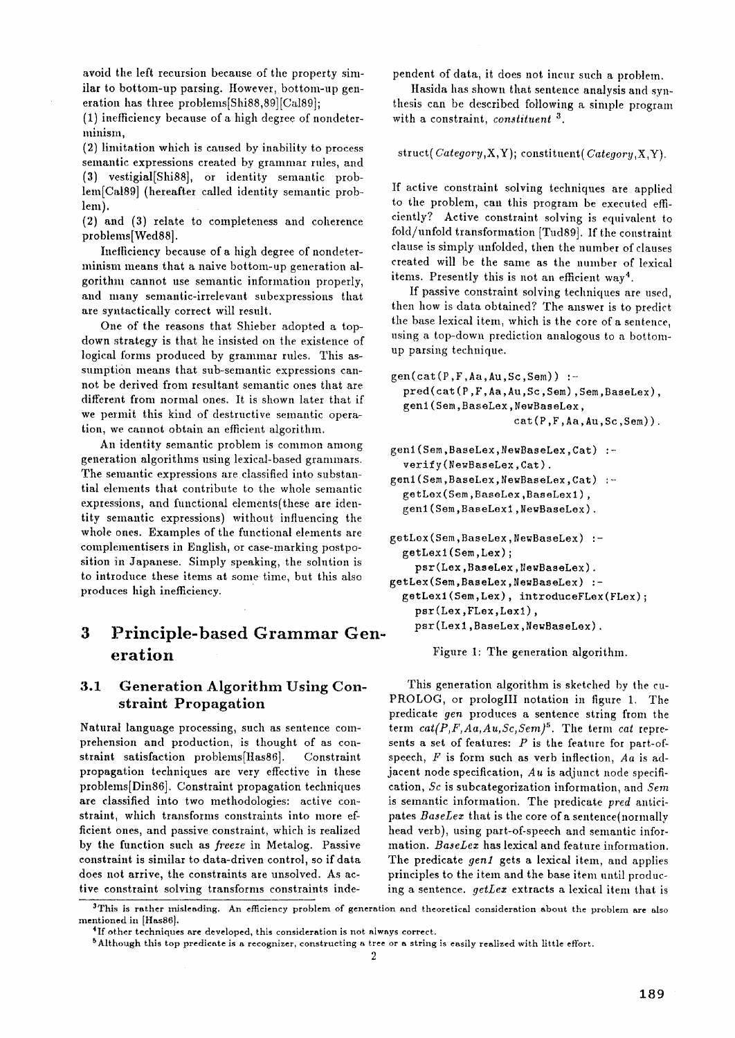avoid the left recursion because of the property similar to bottom-up parsing. However, bottom-up generation has three problems[Shi88,89][Ca189];

(1) inefficiency because of a high degree of nondeterminism,

(2) limitation which is caused by inability to process semantic expressions created by grammar rules, and (3) vestigial[Shi88], or identity semantic problem[Ca189] (hereafter called identity semantic problem).

(2) and (3) relate to completeness and coherence problems[Wed88].

Inefficiency because of a high degree of nondeterminism means that a naive bottom-up generation algorithm cannot use semantic information properly, and many semantic-irrelevant subexpressions that are syntactically correct will result.

One of the reasons that Shieber adopted a topdown strategy is that he insisted on the existence of logical forms produced by grammar rules. This assumption means that sub-semantic expressions cannot be derived from resultant semantic ones that are different from normal ones. It is shown later that if we permit this kind of destructive semantic operation, we cannot obtain an efficient algorithm.

An identity semantic problem is common among generation algorithms using lexical-based grammars. The semantic expressions are classified into substantial elements that contribute to the whole semantic expressions, and functional elements(these are identity semantic expressions) without influencing the whole ones. Examples of the functional elements are complementisers in English, or case-marking postposition in Japanese. Simply speaking, the solution is to introduce these items at some time, but this also produces high inefficiency.

# **3 Principle-based Grammar Generation**

## 3.1 Generation Algorithm Using Constraint Propagation

Natural language processing, such as sentence comprehension and production, is thought of as constraint satisfaction problems[Has86]. Constraint propagation techniques are very effective in these problems[Din86]. Constraint propagation techniques are classified into two methodologies: active constraint, which transforms constraints into more efficient ones, and passive constraint, which is realized by the function such as *freeze* in Metalog. Passive constraint is similar to data-driven control, so if data does not arrive, the constraints are unsolved. As active constraint solving transforms constraints independent of data, it does not incur such a problem.

Hasida has shown that sentence analysis and synthesis can be described following a simple program with a constraint, *constituent*<sup>3</sup>.

struct(Category,X,Y); constituent(Category,X,Y).

If active constraint solving techniques are applied to the problem, can this program be executed efficiently? Active constraint solving is equivalent to fold/unfold transformation [Tud89]. If the constraint clause is simply unfolded, then the number of clauses created will be the same as the number of lexical items. Presently this is not an efficient way 4.

If passive constraint solving techniques are used, then how is data obtained? The answer is to predict the base lexical item, which is the core of a sentence, using a top-down prediction analogous to a bottomup parsing technique.

```
gen(cat(P,F,Aa,Au,Sc,Sem)) :- 
 pred(cat(P,F,Aa,Au,Sc,Sem),Sem,BaseLex), 
 gen1(Sem,BaseLex,NewBaseLex, 
                   cat(P,F,Aa,Au,Sc,Sem)).
```

```
genl(Sem,BaseLex,NewBaseLex,Cat) 
 verify(NewBaseLex,Cat). 
genl(Sem,BaseLex,NewBaseLex,Cat)
```

```
getLex(Sem,BaseLex,BaseLexl), 
gen1(Sem,BaseLexl,NewBaseLex).
```

```
getLex(Sem,BaseLex,NewBaseLex) '- 
 getLexl(Sem,Lex); 
    psr(Lex,BaseLex,NewBaseLex). 
getLex(Sem,BaseLex,NewBaseLex) :-
 getLexl(Sem,Lex), introduceFLex(FLex); 
    psr(Lex,FLex,Lexl), 
    psr(Lexl,BaseLex,NewBaseLex).
```
Figure 1: The generation algorithm.

This generation algorithm is sketched by the cu-PROLOG, or prologIII notation in figure 1. The predicate *gen* produces a sentence string from the term  $cat(P, F, Aa, Au, Sc, Sem)^5$ . The term *cat* represents a set of features:  $P$  is the feature for part-ofspeech, F is form such as verb inflection, *Aa* is adjacent node specification, *Au* is adjunct node specification, *Sc* is subcategorization information, and *Sere*  is semantic information. The predicate *prod* anticipates *BaseLez* that is the core of a sentence(normally head verb), using part-of-speech and semantic information. *BaseLez* has lexical and feature information. The predicate *genl* gets a lexical item, and applies principles to the item and the base item until producing a sentence, *getLez* extracts a lexical item that is

<sup>&</sup>lt;sup>3</sup>This is rather misleading. An efficiency problem of generation and theoretical consideration about the problem are also mentioned in [Has86].

<sup>&</sup>lt;sup>4</sup>If other techniques are developed, this consideration is not always correct.

SAlthough this top predicate is a recognizer, constructing a tree or a string is easily realized with little effort.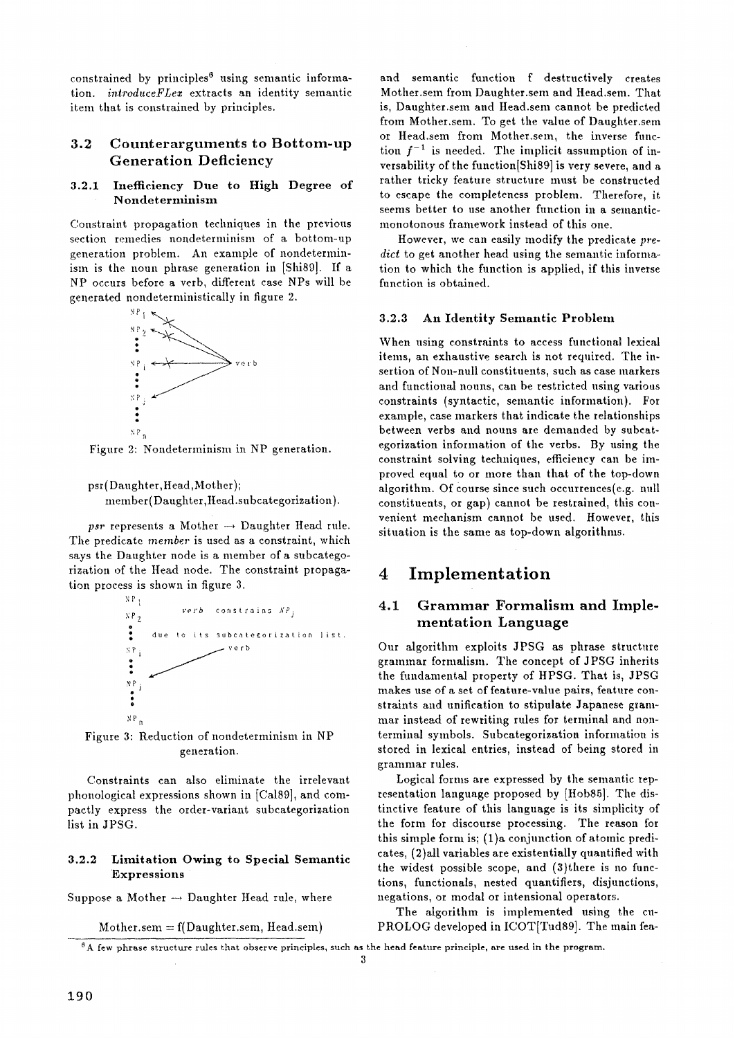constrained by principles<sup>6</sup> using semantic information. *introduceFLez* extracts an identity semantic item that is constrained by principles.

## **3.2 Counterarguments to Bottom-up**  Generation Deficiency

#### 3.2.1 InefRciency Due to High Degree of Nondeterminism

Constraint propagation techniques in the previous section remedies nondeterminism of a bottom-up generation problem. An example of nondeterminism is the noun phrase generation in [Shi89]. If a NP occurs before a verb, different case NPs will be generated nondeterministically in figure 2.



Figure 2: Nondeterminism in NP generation.

psr (Daughter, Head, Mother); member(Daughter,Head.subcategorization).

*psr* represents a Mother  $\rightarrow$  Daughter Head rule. The predicate *member* is used as a constraint, which says the Daughter node is a member of a subcategorization of the Head node. The constraint propagation process is shown in figure 3.



Figure 3: Reduction of nondeterminism in NP generation.

Constraints can also eliminate the irrelevant phonological expressions shown in [Cal89], and compactly express the order-variant subcategorization list in JPSG.

### 3.2.2 Limitation Owing to Special Semantic **Expressions**

Suppose a Mother  $\rightarrow$  Daughter Head rule, where

Mother.sem  $= f(Daughter.sem, Head.sem)$ 

and semantic function f destructively creates Mother.sem from Daughter.sem and Head.sem. That is, Daughter.sem and Head.sem cannot be predicted from Mother.sem. To get the value of Daughter.sem or Head.sem from Mother.sem, the inverse function  $f^{-1}$  is needed. The implicit assumption of inversability of the function[Shi89] is very severe, and a rather tricky feature structure must be constructed to escape the completeness problem. Therefore, it seems better to use another function in a semanticmonotonous framework instead of this one.

However, we can easily modify the predicate pre*dict* to get another head using the semantic information to which the function is applied, if this inverse function is obtained.

### 3.2.3 An Identity Semantic Problem

When using constraints to access functional lexical items, an exhaustive search is not required. The insertion of Non-null constituents, such as case markers and functional nouns, can be restricted using various constraints (syntactic, semantic information). For example, case markers that indicate the relationships between verbs and nouns are demanded by subcategorization information of the verbs. By using the constraint solving techniques, efficiency can be improved equal to or more than that of the top-down algorithm. Of course since such occurrences $(e.g.$  null constituents, or gap) cannot be restrained, this convenient mechanism cannot be used. However, this situation is the same as top-down algorithms.

## **4 Implementation**

## 4.1 Grammar Formalism and Imple**mentation** Language

Our algorithm exploits JPSG as phrase structure grammar formalism. The concept of JPSG inherits the fundamental property of HPSG. That is, JPSG makes use of a set of feature-value pairs, feature constraints and unification to stipulate Japanese grammar instead of rewriting rules for terminal and nonterminal symbols. Subcategorization information is stored in lexical entries, instead of being stored in grammar rules.

Logical forms are expressed by the semantic representation language proposed by [Hob85]. The distinctive feature of this language is its simplicity of the form for discourse processing. The reason for this simple form is; (1)a conjunction of atomic predicates, (2)all variables are existentially quantified with the widest possible scope, and (3)there is no functions, functionals, nested quantifiers, disjunctions, negations, or modal or intensional operators.

The algorithm is implemented using the cu-PROLOG developed in ICOT[Tud89]. The main fen-

 $<sup>6</sup>$  A few phrase structure rules that observe principles, such as the head feature principle, are used in the program.</sup>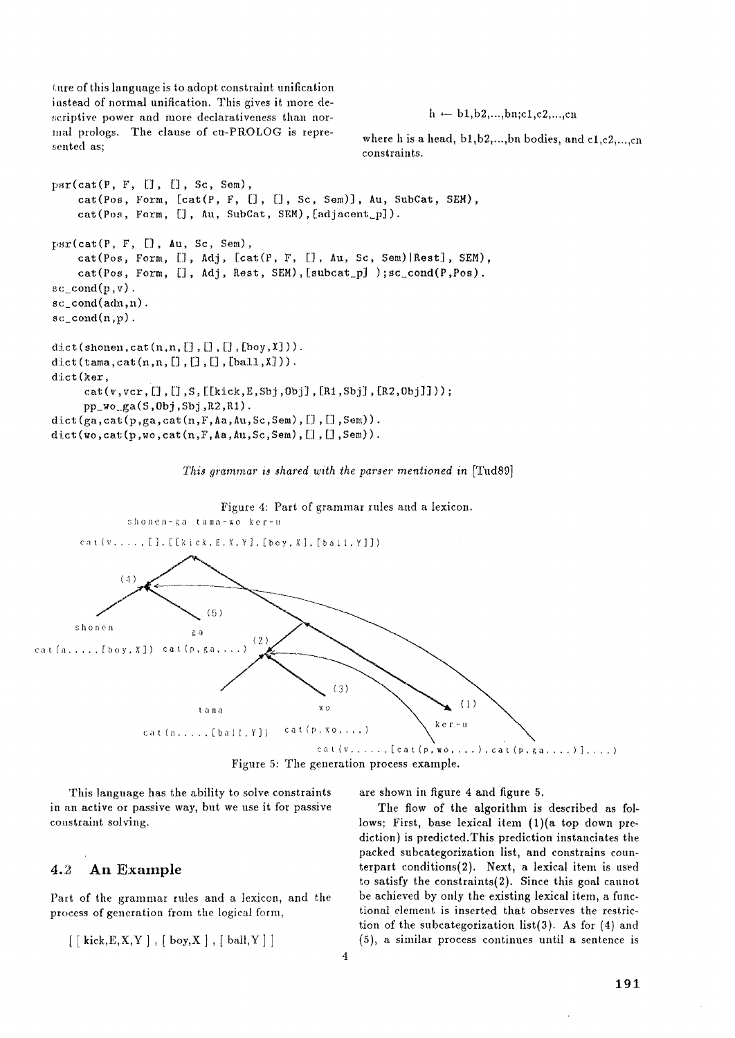$t$ ure of this language is to adopt constraint unification instead of normal unification. This gives it more de scriptive power and more declarativeness than normal prologs. The clause of cu-PROLOG is represented as;

 $h \leftarrow b1,b2,...,bn; c1,c2,...,cn$ 

where h is a head,  $b1,b2,...,bn$  bodies, and  $c1,c2,...,cn$ constraints.

```
pr(cat(P, F, [], [], Sc, Sem),cat(Pos, Form, [cat(P, F, [], [], Sc, Sem)], Au, SubCat, SEM),cat(Pos, Form, [], Au, SubCat, SEM), [adjacent_p]).
psr(cat(P, F, [], Au, Sc, Sem),
    cat(Pos, Form, [], Adj, [cat(P, F, [], Au, Sc, Sem) |Rest], SEM),
    cat(Pos, Form, [], Adj, Rest, SEM), [subcat_p] ); sc\_cond(P, Pos).
~\text{sc\_cond}(p, v).
sc\_cond(adn,n).
sc\_cond(n,p).
dict (shonen, cat (n,n, [], [], [], [boy, X])).
dict(tama,cat(n,n,[],[],[],[],ball,X])).
dict (ker, 
     cat(v,vcr,[],[],S,[[kick,E,Sbj,Obj],[R1,Sbj],[R2,Obj]]));pp_wog_a(S, 0bj, Sbj, R2, R1).
dict(ga,cat(p,ga,cat(n,F,Aa,Au,Sc,Sem), [], [],Sem)).
dist(wo,cat(p,wo,cat(n,F,Aa,Au,Sc,Sem), [], [], Sem)).
```
*This grammar is shared with the parser mentioned in* [Tud89]



 $\overline{4}$ 

This language has the ability to solve constraints in an active or passive way, but we use it for passive constraint solving.

### 4.2 An Example

Part of the grammar rules and a lexicon, and the process of generation from the logical form,

```
\left[ \begin{array}{c} \{ kick, E, X, Y \} , \begin{array}{c} \{ box, X \} , \end{array} \right], \end{array}
```
are shown in figure 4 and figure 5.

The flow of the algorithm is described as follows; First, base lexical item (1)(a top down prediction) is predicted. This prediction instanciates the packed subcategorization list, and constrains counterpart conditions(2). Next, a lexical item is used to satisfy the constraints(2). Since this goal cannot be achieved by only the existing lexical item, a functional element is inserted that observes the restriction of the subcategorization list(3). As for  $(4)$  and (5), a similar process continues until a sentence is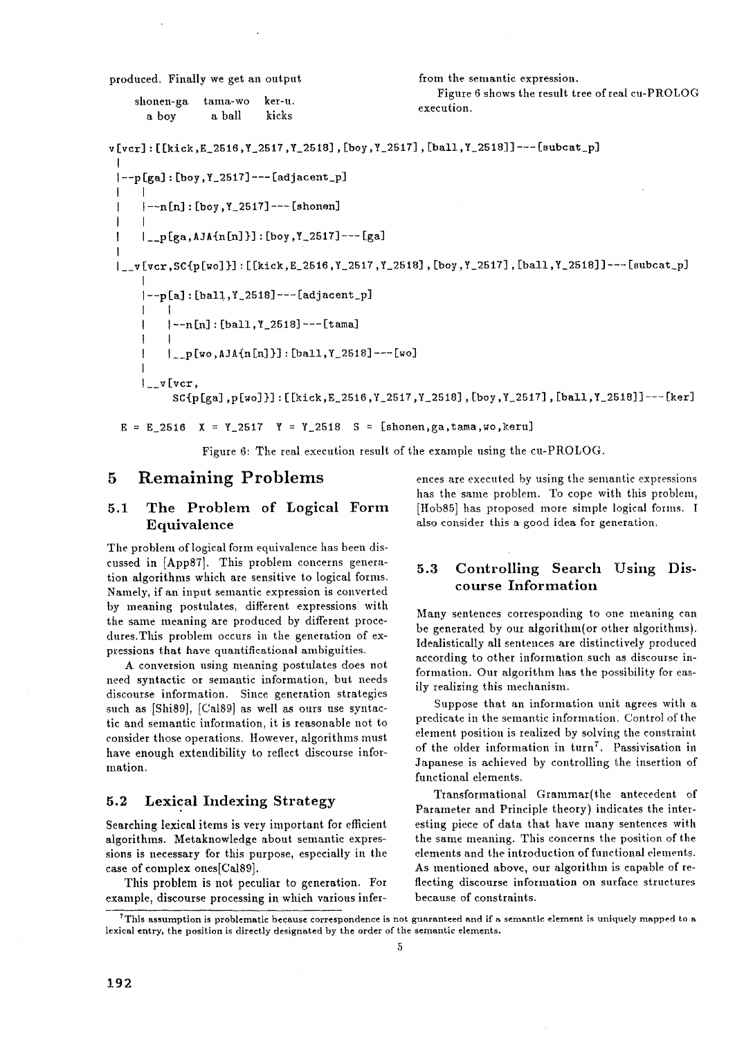produced. Finally we get an output

| shonen-ga | tama-wo | ker-u. |  |
|-----------|---------|--------|--|
| a boy     | a ball  | kicks  |  |

from the semantic expression.

Figure 6 shows the result tree of real cu-PROLOG execution.

```
v [vcr] : [ [kick ,E_2516 ,Y_2517 ,Y_2518] , [boy, Y_2517] , [ball ,Y_2518] ] --- [subcat_p] 
 \{-p[ga] : [boy, Y_2517] -- [adjacent_p]\mathbf{I}I 
     1 - n[n]: [boy, Y_22517] --- [shonen]I 
      I __p [ga, AJA{n [n] }] : [boy ,Y 2517] --- [ga] 
 |<sub>__</sub>v[vcr,SC{p[wo]}] :[[kick,E_2516,Y_2517,Y_2518],[boy,Y_2517],[ball,Y_2518]] ----[subcat_p]
      [-p[a]:[bal1,Y_2518] --[adjacent_p]\mathbf{I}l 
           I --n [n] : [ball, Y_2518] --- [t ama] 
           I 
           |_{-p}[wo,AJA{n[n]}] :[ball,Y_2518]---[wo]
      \bigcup_{x \in V} [vcr,SC{p[ga],p[wo]}]:[[kick,E 2516,Y_2517 ,Y 2518],[boy ,Y 2517],[ball,Y_2518]]---[ker]
```
 $E = E_2516$   $X = Y_2517$   $Y = Y_2518$   $S = [shonen,ga, tama, wo,keru]$ 

Figure 6: The real execution result of the example using the cu-PROLOG.

### **5 Remaining Problems**

## 5.1 The Problem of Logical Form Equivalence

The problem of logical form equivalence has been discussed in [App87]. This problem concerns generation algorithms which are sensitive to logical forms. Namely, if an input semantic expression is converted by meaning postulates, different expressions with the same meaning are produced by different procedures.This problem occurs in the generation of expressions that have quantificational ambiguities.

A conversion using meaning postulates does not need syntactic or semantic information, but needs discourse information. Since generation strategies such as [Shi89], [Ca189] as well as ours use syntactic and semantic information, it is reasonable not to consider those operations. However, algorithms must have enough extendibility to reflect discourse information.

### **5.2** Lexical Indexing Strategy

Searching lexical items is very important for efficient algorithms. Metaknowledge about semantic expressions is necessary for this purpose, especially in the case of complex ones[Cal89].

This problem is not peculiar to generation. For example, discourse processing in which various inferences are executed by using the semantic expressions has the same problem. To cope with this problem, [Hob85] has proposed more simple logical forms. I also consider this a good idea for generation.

## 5.3 Controlling Search Using Discourse Information

Many sentences corresponding to one meaning can be generated by our algorithm(or other algorithms). Idealistically all sentences are distinctively produced according to other information such as discourse information. Our algorithm has the possibility for easily realizing this mechanism.

Suppose that an information unit agrees with a predicate in the semantic information. Control of the element position is realized by solving the constraint of the older information in turn<sup>7</sup>. Passivisation in Japanese is achieved by controlling the insertion of functional elements.

Transformational Grammar(the antecedent of Parameter and Principle theory) indicates the interesting piece of data that have many sentences with the same meaning. This concerns the position of the elements and the introduction of functional elements. As mentioned above, our algorithm is capable of refleeting discourse information on surface structures because of constraints.

 $^7$ This assumption is problematic because correspondence is not guaranteed and if a semantic element is uniquely mapped to a lexical entry, the position is directly designated by the order of the semantic elements.